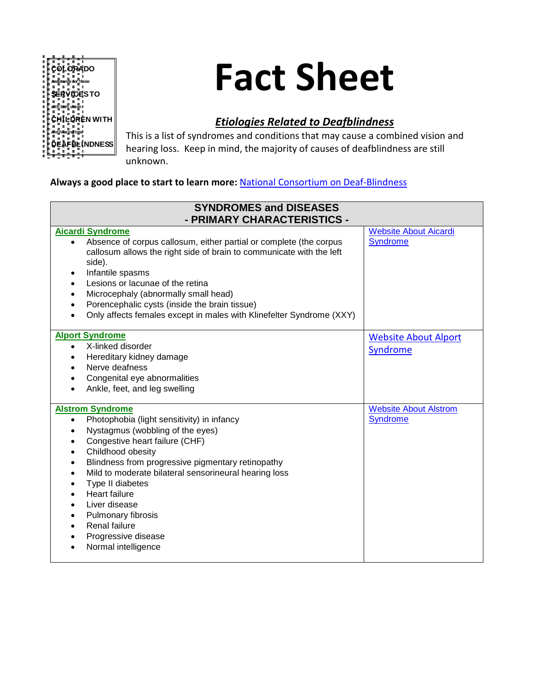

# **Fact Sheet**

## *Etiologies Related to Deafblindness*

This is a list of syndromes and conditions that may cause a combined vision and hearing loss. Keep in mind, the majority of causes of deafblindness are still unknown.

## **Always a good place to start to learn more:** National [Consortium on Deaf-Blindness](https://nationaldb.org/)

| <b>SYNDROMES and DISEASES</b><br>- PRIMARY CHARACTERISTICS -                                                                                                                                                                                                                                                                                                                                                                                                                         |                                                 |
|--------------------------------------------------------------------------------------------------------------------------------------------------------------------------------------------------------------------------------------------------------------------------------------------------------------------------------------------------------------------------------------------------------------------------------------------------------------------------------------|-------------------------------------------------|
| <b>Aicardi Syndrome</b><br>Absence of corpus callosum, either partial or complete (the corpus<br>$\bullet$<br>callosum allows the right side of brain to communicate with the left                                                                                                                                                                                                                                                                                                   | <b>Website About Aicardi</b><br><b>Syndrome</b> |
| side).<br>Infantile spasms<br>$\bullet$<br>Lesions or lacunae of the retina<br>$\bullet$                                                                                                                                                                                                                                                                                                                                                                                             |                                                 |
| Microcephaly (abnormally small head)<br>Porencephalic cysts (inside the brain tissue)<br>Only affects females except in males with Klinefelter Syndrome (XXY)                                                                                                                                                                                                                                                                                                                        |                                                 |
| <b>Alport Syndrome</b>                                                                                                                                                                                                                                                                                                                                                                                                                                                               | <b>Website About Alport</b>                     |
| X-linked disorder<br>$\bullet$<br>Hereditary kidney damage<br>$\bullet$<br>Nerve deafness                                                                                                                                                                                                                                                                                                                                                                                            | Syndrome                                        |
| Congenital eye abnormalities<br>Ankle, feet, and leg swelling                                                                                                                                                                                                                                                                                                                                                                                                                        |                                                 |
| <b>Alstrom Syndrome</b><br>Photophobia (light sensitivity) in infancy<br>$\bullet$<br>Nystagmus (wobbling of the eyes)<br>Congestive heart failure (CHF)<br>$\bullet$<br>Childhood obesity<br>$\bullet$<br>Blindness from progressive pigmentary retinopathy<br>$\bullet$<br>Mild to moderate bilateral sensorineural hearing loss<br>Type II diabetes<br><b>Heart failure</b><br>Liver disease<br>Pulmonary fibrosis<br>Renal failure<br>Progressive disease<br>Normal intelligence | <b>Website About Alstrom</b><br><b>Syndrome</b> |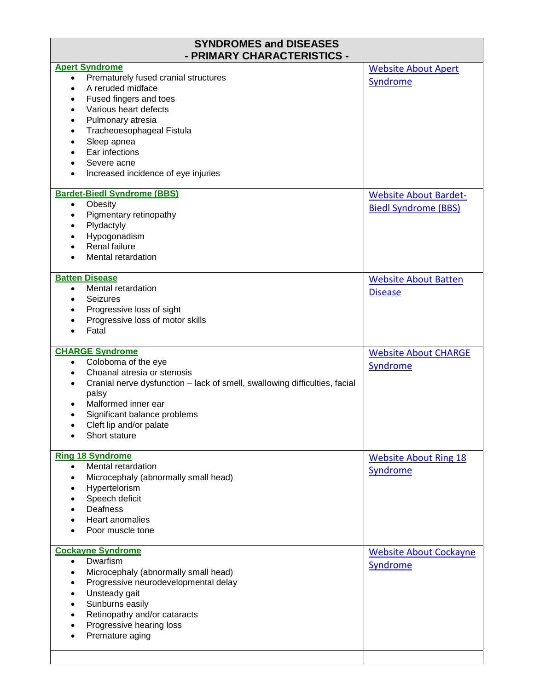| <b>SYNDROMES and DISEASES</b><br>- PRIMARY CHARACTERISTICS -                            |                               |
|-----------------------------------------------------------------------------------------|-------------------------------|
| <b>Apert Syndrome</b>                                                                   | <b>Website About Apert</b>    |
| Prematurely fused cranial structures<br>$\bullet$                                       | Syndrome                      |
| A reruded midface<br>$\bullet$                                                          |                               |
| Fused fingers and toes<br>$\bullet$                                                     |                               |
| Various heart defects                                                                   |                               |
| Pulmonary atresia<br>٠                                                                  |                               |
| Tracheoesophageal Fistula<br>$\bullet$                                                  |                               |
| Sleep apnea<br>$\bullet$                                                                |                               |
| Ear infections                                                                          |                               |
| Severe acne                                                                             |                               |
|                                                                                         |                               |
| Increased incidence of eye injuries<br>٠                                                |                               |
| <b>Bardet-Biedl Syndrome (BBS)</b>                                                      | <b>Website About Bardet-</b>  |
| Obesity<br>$\bullet$                                                                    | <b>Biedl Syndrome (BBS)</b>   |
| Pigmentary retinopathy<br>$\bullet$                                                     |                               |
| Plydactyly<br>$\bullet$                                                                 |                               |
| Hypogonadism                                                                            |                               |
| Renal failure                                                                           |                               |
| Mental retardation                                                                      |                               |
|                                                                                         |                               |
| <b>Batten Disease</b>                                                                   | <b>Website About Batten</b>   |
| Mental retardation<br>$\bullet$                                                         | <b>Disease</b>                |
| <b>Seizures</b><br>٠                                                                    |                               |
| Progressive loss of sight<br>٠                                                          |                               |
| Progressive loss of motor skills                                                        |                               |
| Fatal                                                                                   |                               |
|                                                                                         |                               |
| <b>CHARGE Syndrome</b>                                                                  | <b>Website About CHARGE</b>   |
| Coloboma of the eye<br>$\bullet$                                                        | Syndrome                      |
| Choanal atresia or stenosis<br>٠                                                        |                               |
| Cranial nerve dysfunction - lack of smell, swallowing difficulties, facial<br>$\bullet$ |                               |
|                                                                                         |                               |
| palsy                                                                                   |                               |
| Malformed inner ear                                                                     |                               |
| Significant balance problems                                                            |                               |
| Cleft lip and/or palate                                                                 |                               |
| Short stature                                                                           |                               |
| <b>Ring 18 Syndrome</b>                                                                 |                               |
| Mental retardation<br>$\bullet$                                                         | <b>Website About Ring 18</b>  |
| Microcephaly (abnormally small head)<br>$\bullet$                                       | Syndrome                      |
| $\bullet$                                                                               |                               |
| Hypertelorism<br>$\bullet$                                                              |                               |
| Speech deficit                                                                          |                               |
| Deafness                                                                                |                               |
| Heart anomalies                                                                         |                               |
| Poor muscle tone                                                                        |                               |
| <b>Cockayne Syndrome</b>                                                                | <b>Website About Cockayne</b> |
| Dwarfism<br>$\bullet$                                                                   |                               |
| Microcephaly (abnormally small head)<br>$\bullet$                                       | <b>Syndrome</b>               |
| Progressive neurodevelopmental delay<br>$\bullet$                                       |                               |
| Unsteady gait<br>$\bullet$                                                              |                               |
| Sunburns easily<br>$\bullet$                                                            |                               |
|                                                                                         |                               |
| Retinopathy and/or cataracts                                                            |                               |
| Progressive hearing loss                                                                |                               |
| Premature aging                                                                         |                               |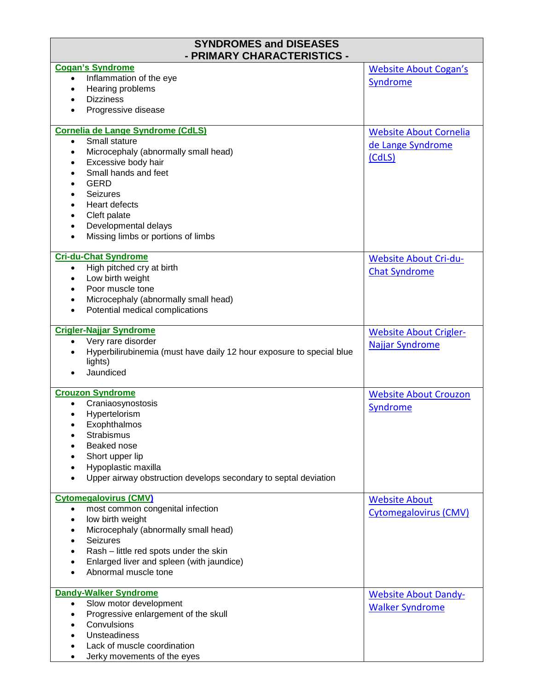| <b>SYNDROMES and DISEASES</b><br>- PRIMARY CHARACTERISTICS -                      |                               |
|-----------------------------------------------------------------------------------|-------------------------------|
| <b>Cogan's Syndrome</b>                                                           | <b>Website About Cogan's</b>  |
| Inflammation of the eye<br>$\bullet$                                              | Syndrome                      |
| Hearing problems<br>$\bullet$                                                     |                               |
| <b>Dizziness</b><br>$\bullet$                                                     |                               |
| Progressive disease                                                               |                               |
| Cornelia de Lange Syndrome (CdLS)                                                 | <b>Website About Cornelia</b> |
| Small stature<br>$\bullet$                                                        | de Lange Syndrome             |
| Microcephaly (abnormally small head)<br>$\bullet$                                 | (CdLS)                        |
| Excessive body hair<br>$\bullet$                                                  |                               |
| Small hands and feet<br>$\bullet$                                                 |                               |
| <b>GERD</b><br>$\bullet$                                                          |                               |
| <b>Seizures</b><br>$\bullet$                                                      |                               |
| <b>Heart defects</b><br>$\bullet$                                                 |                               |
| Cleft palate<br>$\bullet$                                                         |                               |
| Developmental delays<br>$\bullet$                                                 |                               |
| Missing limbs or portions of limbs<br>$\bullet$                                   |                               |
| <b>Cri-du-Chat Syndrome</b>                                                       | <b>Website About Cri-du-</b>  |
| High pitched cry at birth<br>$\bullet$                                            | <b>Chat Syndrome</b>          |
| Low birth weight<br>$\bullet$                                                     |                               |
| Poor muscle tone<br>$\bullet$                                                     |                               |
| Microcephaly (abnormally small head)<br>$\bullet$                                 |                               |
| Potential medical complications<br>$\bullet$                                      |                               |
| <b>Crigler-Najjar Syndrome</b>                                                    | <b>Website About Crigler-</b> |
| Very rare disorder<br>$\bullet$                                                   |                               |
| Hyperbilirubinemia (must have daily 12 hour exposure to special blue<br>$\bullet$ | <b>Najjar Syndrome</b>        |
| lights)                                                                           |                               |
| Jaundiced                                                                         |                               |
| <b>Crouzon Syndrome</b>                                                           | <b>Website About Crouzon</b>  |
| Craniaosynostosis<br>$\bullet$                                                    | Syndrome                      |
| Hypertelorism                                                                     |                               |
| Exophthalmos                                                                      |                               |
| Strabismus                                                                        |                               |
| Beaked nose                                                                       |                               |
| Short upper lip                                                                   |                               |
| Hypoplastic maxilla                                                               |                               |
| Upper airway obstruction develops secondary to septal deviation                   |                               |
|                                                                                   |                               |
| <b>Cytomegalovirus (CMV)</b>                                                      | <b>Website About</b>          |
| most common congenital infection<br>$\bullet$                                     | <b>Cytomegalovirus (CMV)</b>  |
| low birth weight<br>$\bullet$                                                     |                               |
| Microcephaly (abnormally small head)<br>$\bullet$                                 |                               |
| <b>Seizures</b><br>$\bullet$                                                      |                               |
| Rash - little red spots under the skin                                            |                               |
| Enlarged liver and spleen (with jaundice)                                         |                               |
| Abnormal muscle tone                                                              |                               |
| <b>Dandy-Walker Syndrome</b>                                                      | <b>Website About Dandy-</b>   |
| Slow motor development<br>$\bullet$                                               |                               |
| Progressive enlargement of the skull<br>$\bullet$                                 | <b>Walker Syndrome</b>        |
| Convulsions<br>$\bullet$                                                          |                               |
|                                                                                   |                               |
| <b>Unsteadiness</b>                                                               |                               |
| Lack of muscle coordination                                                       |                               |
| Jerky movements of the eyes<br>$\bullet$                                          |                               |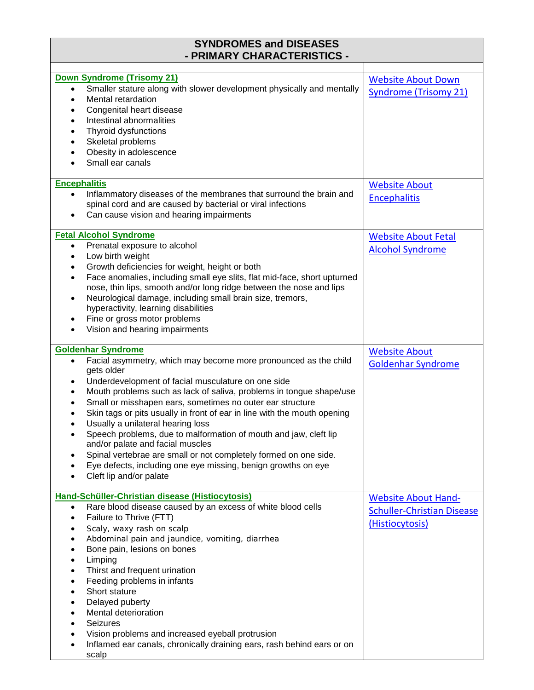| <b>SYNDROMES and DISEASES</b><br>- PRIMARY CHARACTERISTICS -                                                                                         |                                   |
|------------------------------------------------------------------------------------------------------------------------------------------------------|-----------------------------------|
| Down Syndrome (Trisomy 21)                                                                                                                           | <b>Website About Down</b>         |
| Smaller stature along with slower development physically and mentally<br>$\bullet$                                                                   | <b>Syndrome (Trisomy 21)</b>      |
| Mental retardation<br>$\bullet$                                                                                                                      |                                   |
| Congenital heart disease<br>٠                                                                                                                        |                                   |
| Intestinal abnormalities<br>$\bullet$                                                                                                                |                                   |
| Thyroid dysfunctions<br>$\bullet$<br>Skeletal problems<br>$\bullet$                                                                                  |                                   |
| Obesity in adolescence<br>$\bullet$                                                                                                                  |                                   |
| Small ear canals                                                                                                                                     |                                   |
| <b>Encephalitis</b>                                                                                                                                  | <b>Website About</b>              |
| Inflammatory diseases of the membranes that surround the brain and<br>$\bullet$                                                                      | <b>Encephalitis</b>               |
| spinal cord and are caused by bacterial or viral infections                                                                                          |                                   |
| Can cause vision and hearing impairments                                                                                                             |                                   |
| <b>Fetal Alcohol Syndrome</b>                                                                                                                        | <b>Website About Fetal</b>        |
| Prenatal exposure to alcohol<br>$\bullet$                                                                                                            | <b>Alcohol Syndrome</b>           |
| Low birth weight<br>٠<br>Growth deficiencies for weight, height or both<br>$\bullet$                                                                 |                                   |
| Face anomalies, including small eye slits, flat mid-face, short upturned<br>$\bullet$                                                                |                                   |
| nose, thin lips, smooth and/or long ridge between the nose and lips                                                                                  |                                   |
| Neurological damage, including small brain size, tremors,<br>٠<br>hyperactivity, learning disabilities                                               |                                   |
| Fine or gross motor problems<br>٠                                                                                                                    |                                   |
| Vision and hearing impairments                                                                                                                       |                                   |
| <b>Goldenhar Syndrome</b>                                                                                                                            | <b>Website About</b>              |
| Facial asymmetry, which may become more pronounced as the child<br>$\bullet$                                                                         | <b>Goldenhar Syndrome</b>         |
| gets older                                                                                                                                           |                                   |
| Underdevelopment of facial musculature on one side<br>٠                                                                                              |                                   |
| Mouth problems such as lack of saliva, problems in tongue shape/use<br>٠<br>Small or misshapen ears, sometimes no outer ear structure                |                                   |
| Skin tags or pits usually in front of ear in line with the mouth opening                                                                             |                                   |
| Usually a unilateral hearing loss                                                                                                                    |                                   |
| Speech problems, due to malformation of mouth and jaw, cleft lip<br>$\bullet$<br>and/or palate and facial muscles                                    |                                   |
| Spinal vertebrae are small or not completely formed on one side.<br>$\bullet$                                                                        |                                   |
| Eye defects, including one eye missing, benign growths on eye                                                                                        |                                   |
| Cleft lip and/or palate                                                                                                                              |                                   |
| Hand-Schüller-Christian disease (Histiocytosis)                                                                                                      | <b>Website About Hand-</b>        |
| Rare blood disease caused by an excess of white blood cells<br>$\bullet$                                                                             | <b>Schuller-Christian Disease</b> |
| Failure to Thrive (FTT)<br>٠                                                                                                                         | (Histiocytosis)                   |
| Scaly, waxy rash on scalp<br>$\bullet$                                                                                                               |                                   |
| Abdominal pain and jaundice, vomiting, diarrhea<br>$\bullet$<br>Bone pain, lesions on bones                                                          |                                   |
| Limping<br>$\bullet$                                                                                                                                 |                                   |
| Thirst and frequent urination<br>$\bullet$                                                                                                           |                                   |
| Feeding problems in infants<br>$\bullet$                                                                                                             |                                   |
| Short stature<br>$\bullet$                                                                                                                           |                                   |
| Delayed puberty<br>$\bullet$                                                                                                                         |                                   |
| Mental deterioration<br>$\bullet$                                                                                                                    |                                   |
| <b>Seizures</b><br>$\bullet$                                                                                                                         |                                   |
| Vision problems and increased eyeball protrusion<br>$\bullet$<br>Inflamed ear canals, chronically draining ears, rash behind ears or on<br>$\bullet$ |                                   |
| scalp                                                                                                                                                |                                   |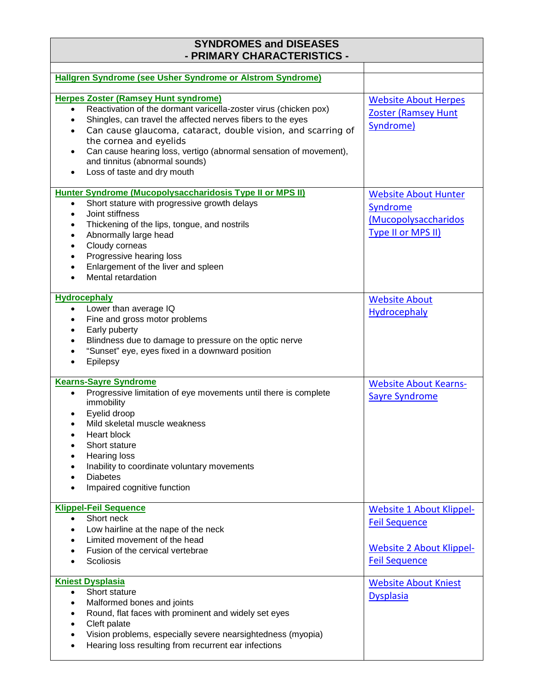| <b>SYNDROMES and DISEASES</b><br>- PRIMARY CHARACTERISTICS -                                                                                                                                                                                                                                                                                                                                                                                          |                                                                                                                    |
|-------------------------------------------------------------------------------------------------------------------------------------------------------------------------------------------------------------------------------------------------------------------------------------------------------------------------------------------------------------------------------------------------------------------------------------------------------|--------------------------------------------------------------------------------------------------------------------|
| Hallgren Syndrome (see Usher Syndrome or Alstrom Syndrome)                                                                                                                                                                                                                                                                                                                                                                                            |                                                                                                                    |
| <b>Herpes Zoster (Ramsey Hunt syndrome)</b><br>Reactivation of the dormant varicella-zoster virus (chicken pox)<br>$\bullet$<br>Shingles, can travel the affected nerves fibers to the eyes<br>$\bullet$<br>Can cause glaucoma, cataract, double vision, and scarring of<br>$\bullet$<br>the cornea and eyelids<br>Can cause hearing loss, vertigo (abnormal sensation of movement),<br>and tinnitus (abnormal sounds)<br>Loss of taste and dry mouth | <b>Website About Herpes</b><br><b>Zoster (Ramsey Hunt</b><br>Syndrome)                                             |
| Hunter Syndrome (Mucopolysaccharidosis Type II or MPS II)<br>Short stature with progressive growth delays<br>$\bullet$<br>Joint stiffness<br>$\bullet$<br>Thickening of the lips, tongue, and nostrils<br>$\bullet$<br>Abnormally large head<br>$\bullet$<br>Cloudy corneas<br>$\bullet$<br>Progressive hearing loss<br>$\bullet$<br>Enlargement of the liver and spleen<br>$\bullet$<br>Mental retardation                                           | <b>Website About Hunter</b><br>Syndrome<br>(Mucopolysaccharidos<br>Type II or MPS II)                              |
| <b>Hydrocephaly</b><br>Lower than average IQ<br>$\bullet$<br>Fine and gross motor problems<br>$\bullet$<br>Early puberty<br>٠<br>Blindness due to damage to pressure on the optic nerve<br>$\bullet$<br>"Sunset" eye, eyes fixed in a downward position<br>$\bullet$<br>Epilepsy                                                                                                                                                                      | <b>Website About</b><br><b>Hydrocephaly</b>                                                                        |
| <b>Kearns-Sayre Syndrome</b><br>Progressive limitation of eye movements until there is complete<br>$\bullet$<br>immobility<br>Eyelid droop<br>Mild skeletal muscle weakness<br><b>Heart block</b><br>Short stature<br><b>Hearing loss</b><br>Inability to coordinate voluntary movements<br><b>Diabetes</b><br>Impaired cognitive function                                                                                                            | <b>Website About Kearns-</b><br><b>Sayre Syndrome</b>                                                              |
| <b>Klippel-Feil Sequence</b><br>Short neck<br>$\bullet$<br>Low hairline at the nape of the neck<br>$\bullet$<br>Limited movement of the head<br>$\bullet$<br>Fusion of the cervical vertebrae<br>Scoliosis                                                                                                                                                                                                                                            | <b>Website 1 About Klippel-</b><br><b>Feil Sequence</b><br><b>Website 2 About Klippel-</b><br><b>Feil Sequence</b> |
| <b>Kniest Dysplasia</b><br>Short stature<br>$\bullet$<br>Malformed bones and joints<br>$\bullet$<br>Round, flat faces with prominent and widely set eyes<br>$\bullet$<br>Cleft palate<br>$\bullet$<br>Vision problems, especially severe nearsightedness (myopia)<br>$\bullet$<br>Hearing loss resulting from recurrent ear infections                                                                                                                | <b>Website About Kniest</b><br><b>Dysplasia</b>                                                                    |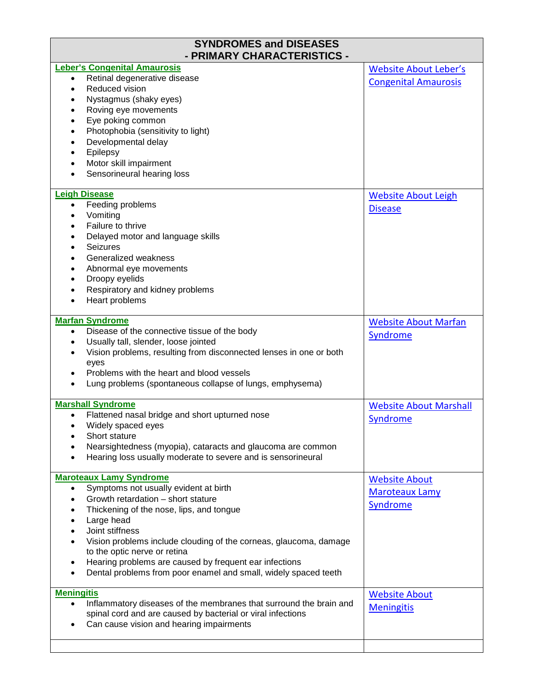| <b>SYNDROMES and DISEASES</b><br>- PRIMARY CHARACTERISTICS -                                                                                   |                                                             |  |
|------------------------------------------------------------------------------------------------------------------------------------------------|-------------------------------------------------------------|--|
| <b>Leber's Congenital Amaurosis</b><br>Retinal degenerative disease<br>٠                                                                       | <b>Website About Leber's</b><br><b>Congenital Amaurosis</b> |  |
| Reduced vision<br>$\bullet$                                                                                                                    |                                                             |  |
| Nystagmus (shaky eyes)<br>$\bullet$                                                                                                            |                                                             |  |
| Roving eye movements<br>$\bullet$<br>Eye poking common<br>$\bullet$                                                                            |                                                             |  |
| Photophobia (sensitivity to light)<br>$\bullet$                                                                                                |                                                             |  |
| Developmental delay<br>$\bullet$                                                                                                               |                                                             |  |
| Epilepsy<br>٠                                                                                                                                  |                                                             |  |
| Motor skill impairment<br>$\bullet$                                                                                                            |                                                             |  |
| Sensorineural hearing loss<br>$\bullet$                                                                                                        |                                                             |  |
| <b>Leigh Disease</b>                                                                                                                           | <b>Website About Leigh</b>                                  |  |
| Feeding problems<br>$\bullet$                                                                                                                  | <b>Disease</b>                                              |  |
| Vomiting<br>٠<br>Failure to thrive<br>$\bullet$                                                                                                |                                                             |  |
| Delayed motor and language skills<br>٠                                                                                                         |                                                             |  |
| Seizures<br>$\bullet$                                                                                                                          |                                                             |  |
| Generalized weakness<br>$\bullet$                                                                                                              |                                                             |  |
| Abnormal eye movements<br>$\bullet$                                                                                                            |                                                             |  |
| Droopy eyelids<br>$\bullet$                                                                                                                    |                                                             |  |
| Respiratory and kidney problems                                                                                                                |                                                             |  |
| Heart problems<br>٠                                                                                                                            |                                                             |  |
| <b>Marfan Syndrome</b>                                                                                                                         | <b>Website About Marfan</b>                                 |  |
| Disease of the connective tissue of the body<br>$\bullet$                                                                                      | Syndrome                                                    |  |
| Usually tall, slender, loose jointed<br>$\bullet$<br>Vision problems, resulting from disconnected lenses in one or both                        |                                                             |  |
| eyes                                                                                                                                           |                                                             |  |
| Problems with the heart and blood vessels                                                                                                      |                                                             |  |
| Lung problems (spontaneous collapse of lungs, emphysema)                                                                                       |                                                             |  |
| <b>Marshall Syndrome</b>                                                                                                                       | <b>Website About Marshall</b>                               |  |
| Flattened nasal bridge and short upturned nose                                                                                                 | Syndrome                                                    |  |
| Widely spaced eyes                                                                                                                             |                                                             |  |
| Short stature                                                                                                                                  |                                                             |  |
| Nearsightedness (myopia), cataracts and glaucoma are common<br>Hearing loss usually moderate to severe and is sensorineural<br>$\bullet$       |                                                             |  |
|                                                                                                                                                |                                                             |  |
| <b>Maroteaux Lamy Syndrome</b>                                                                                                                 | <b>Website About</b>                                        |  |
| Symptoms not usually evident at birth<br>$\bullet$<br>Growth retardation - short stature<br>$\bullet$                                          | <b>Maroteaux Lamy</b>                                       |  |
| Thickening of the nose, lips, and tongue<br>$\bullet$                                                                                          | Syndrome                                                    |  |
| Large head<br>$\bullet$                                                                                                                        |                                                             |  |
| Joint stiffness                                                                                                                                |                                                             |  |
| Vision problems include clouding of the corneas, glaucoma, damage<br>$\bullet$                                                                 |                                                             |  |
| to the optic nerve or retina                                                                                                                   |                                                             |  |
| Hearing problems are caused by frequent ear infections<br>$\bullet$<br>Dental problems from poor enamel and small, widely spaced teeth         |                                                             |  |
| $\bullet$                                                                                                                                      |                                                             |  |
| <b>Meningitis</b>                                                                                                                              | <b>Website About</b>                                        |  |
| Inflammatory diseases of the membranes that surround the brain and<br>$\bullet$<br>spinal cord and are caused by bacterial or viral infections | <b>Meningitis</b>                                           |  |
| Can cause vision and hearing impairments                                                                                                       |                                                             |  |
|                                                                                                                                                |                                                             |  |
|                                                                                                                                                |                                                             |  |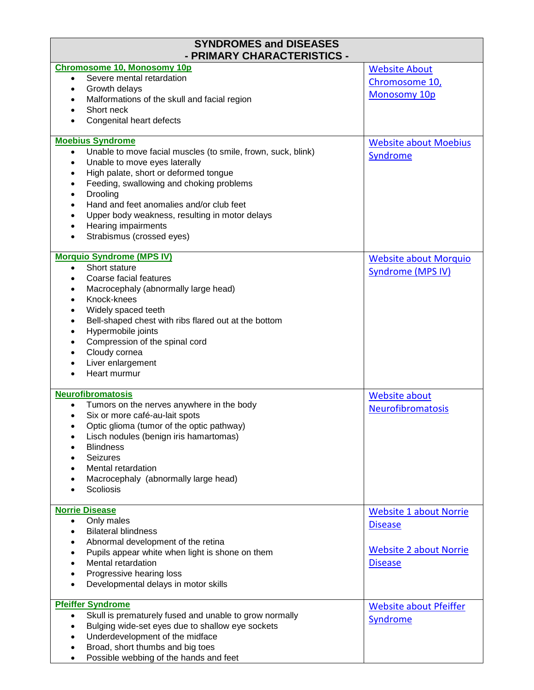| <b>SYNDROMES and DISEASES</b><br>- PRIMARY CHARACTERISTICS -                                     |                               |
|--------------------------------------------------------------------------------------------------|-------------------------------|
| <b>Chromosome 10, Monosomy 10p</b>                                                               | <b>Website About</b>          |
| Severe mental retardation<br>$\bullet$<br>Growth delays<br>$\bullet$                             | Chromosome 10,                |
| Malformations of the skull and facial region<br>$\bullet$                                        | Monosomy 10p                  |
| Short neck                                                                                       |                               |
| Congenital heart defects<br>$\bullet$                                                            |                               |
| <b>Moebius Syndrome</b>                                                                          | <b>Website about Moebius</b>  |
| Unable to move facial muscles (to smile, frown, suck, blink)<br>$\bullet$                        | Syndrome                      |
| Unable to move eyes laterally<br>$\bullet$<br>High palate, short or deformed tongue<br>$\bullet$ |                               |
| Feeding, swallowing and choking problems<br>$\bullet$                                            |                               |
| Drooling<br>$\bullet$                                                                            |                               |
| Hand and feet anomalies and/or club feet<br>$\bullet$                                            |                               |
| Upper body weakness, resulting in motor delays<br>$\bullet$                                      |                               |
| Hearing impairments<br>$\bullet$                                                                 |                               |
| Strabismus (crossed eyes)<br>$\bullet$                                                           |                               |
| <b>Morquio Syndrome (MPS IV)</b>                                                                 | <b>Website about Morquio</b>  |
| Short stature<br>$\bullet$                                                                       | <b>Syndrome (MPS IV)</b>      |
| Coarse facial features<br>$\bullet$                                                              |                               |
| Macrocephaly (abnormally large head)<br>$\bullet$<br>Knock-knees<br>$\bullet$                    |                               |
| Widely spaced teeth<br>$\bullet$                                                                 |                               |
| Bell-shaped chest with ribs flared out at the bottom<br>$\bullet$                                |                               |
| Hypermobile joints<br>$\bullet$                                                                  |                               |
| Compression of the spinal cord<br>$\bullet$                                                      |                               |
| Cloudy cornea<br>$\bullet$                                                                       |                               |
| Liver enlargement<br>$\bullet$<br>Heart murmur                                                   |                               |
| $\bullet$                                                                                        |                               |
| <b>Neurofibromatosis</b><br>Tumors on the nerves anywhere in the body<br>$\bullet$               | <b>Website about</b>          |
| Six or more café-au-lait spots<br>$\bullet$                                                      | <b>Neurofibromatosis</b>      |
| Optic glioma (tumor of the optic pathway)                                                        |                               |
| Lisch nodules (benign iris hamartomas)<br>$\bullet$                                              |                               |
| <b>Blindness</b>                                                                                 |                               |
| <b>Seizures</b><br>$\bullet$                                                                     |                               |
| Mental retardation<br>$\bullet$                                                                  |                               |
| Macrocephaly (abnormally large head)<br>٠                                                        |                               |
| Scoliosis<br>$\bullet$                                                                           |                               |
| <b>Norrie Disease</b>                                                                            | <b>Website 1 about Norrie</b> |
| Only males<br>$\bullet$                                                                          | <b>Disease</b>                |
| <b>Bilateral blindness</b><br>$\bullet$<br>Abnormal development of the retina<br>٠               |                               |
| Pupils appear white when light is shone on them<br>$\bullet$                                     | <b>Website 2 about Norrie</b> |
| Mental retardation<br>$\bullet$                                                                  | <b>Disease</b>                |
| Progressive hearing loss<br>$\bullet$                                                            |                               |
| Developmental delays in motor skills<br>$\bullet$                                                |                               |
| <b>Pfeiffer Syndrome</b>                                                                         | <b>Website about Pfeiffer</b> |
| Skull is prematurely fused and unable to grow normally<br>$\bullet$                              |                               |
| Bulging wide-set eyes due to shallow eye sockets<br>$\bullet$                                    | Syndrome                      |
| Underdevelopment of the midface<br>$\bullet$                                                     |                               |
| Broad, short thumbs and big toes<br>$\bullet$                                                    |                               |
| Possible webbing of the hands and feet<br>$\bullet$                                              |                               |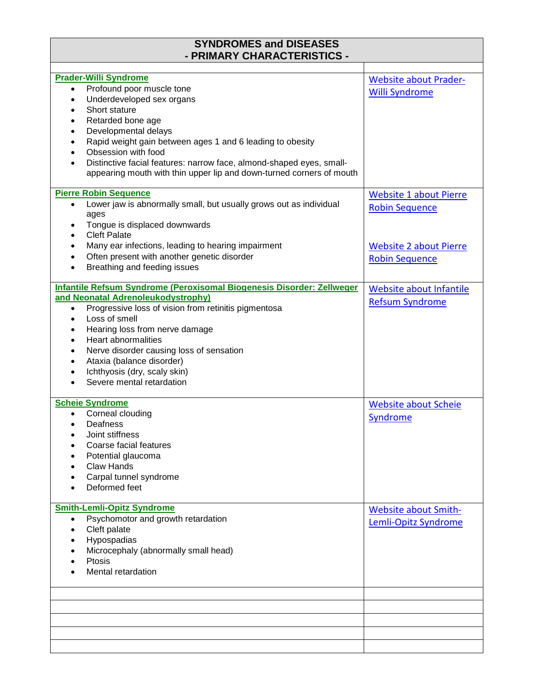| <b>SYNDROMES and DISEASES</b><br>- PRIMARY CHARACTERISTICS -                    |                               |
|---------------------------------------------------------------------------------|-------------------------------|
|                                                                                 |                               |
| <b>Prader-Willi Syndrome</b>                                                    | <b>Website about Prader-</b>  |
| Profound poor muscle tone<br>$\bullet$                                          | <b>Willi Syndrome</b>         |
| Underdeveloped sex organs<br>$\bullet$                                          |                               |
| Short stature<br>$\bullet$                                                      |                               |
| Retarded bone age<br>$\bullet$                                                  |                               |
| Developmental delays<br>$\bullet$                                               |                               |
| Rapid weight gain between ages 1 and 6 leading to obesity                       |                               |
| Obsession with food                                                             |                               |
| Distinctive facial features: narrow face, almond-shaped eyes, small-            |                               |
| appearing mouth with thin upper lip and down-turned corners of mouth            |                               |
| <b>Pierre Robin Sequence</b>                                                    | <b>Website 1 about Pierre</b> |
| Lower jaw is abnormally small, but usually grows out as individual<br>$\bullet$ | <b>Robin Sequence</b>         |
| ages                                                                            |                               |
| Tongue is displaced downwards<br><b>Cleft Palate</b><br>$\bullet$               |                               |
| Many ear infections, leading to hearing impairment<br>$\bullet$                 | <b>Website 2 about Pierre</b> |
| Often present with another genetic disorder<br>$\bullet$                        | <b>Robin Sequence</b>         |
| Breathing and feeding issues<br>$\bullet$                                       |                               |
|                                                                                 |                               |
| Infantile Refsum Syndrome (Peroxisomal Biogenesis Disorder: Zellweger           | Website about Infantile       |
| and Neonatal Adrenoleukodystrophy)                                              | <b>Refsum Syndrome</b>        |
| Progressive loss of vision from retinitis pigmentosa<br>$\bullet$               |                               |
| Loss of smell<br>$\bullet$                                                      |                               |
| Hearing loss from nerve damage<br>٠                                             |                               |
| <b>Heart abnormalities</b><br>$\bullet$                                         |                               |
| Nerve disorder causing loss of sensation<br>$\bullet$                           |                               |
| Ataxia (balance disorder)<br>$\bullet$                                          |                               |
| Ichthyosis (dry, scaly skin)                                                    |                               |
| Severe mental retardation                                                       |                               |
| <b>Scheie Syndrome</b>                                                          | <b>Website about Scheie</b>   |
| Corneal clouding                                                                | Syndrome                      |
| Deafness<br>$\bullet$                                                           |                               |
| Joint stiffness                                                                 |                               |
| Coarse facial features                                                          |                               |
| Potential glaucoma                                                              |                               |
| <b>Claw Hands</b>                                                               |                               |
| Carpal tunnel syndrome                                                          |                               |
| Deformed feet                                                                   |                               |
|                                                                                 |                               |
| <b>Smith-Lemli-Opitz Syndrome</b>                                               | <b>Website about Smith-</b>   |
| Psychomotor and growth retardation<br>$\bullet$                                 | Lemli-Opitz Syndrome          |
| Cleft palate<br>$\bullet$                                                       |                               |
| Hypospadias<br>$\bullet$                                                        |                               |
| Microcephaly (abnormally small head)                                            |                               |
| Ptosis                                                                          |                               |
| Mental retardation                                                              |                               |
|                                                                                 |                               |
|                                                                                 |                               |
|                                                                                 |                               |
|                                                                                 |                               |
|                                                                                 |                               |
|                                                                                 |                               |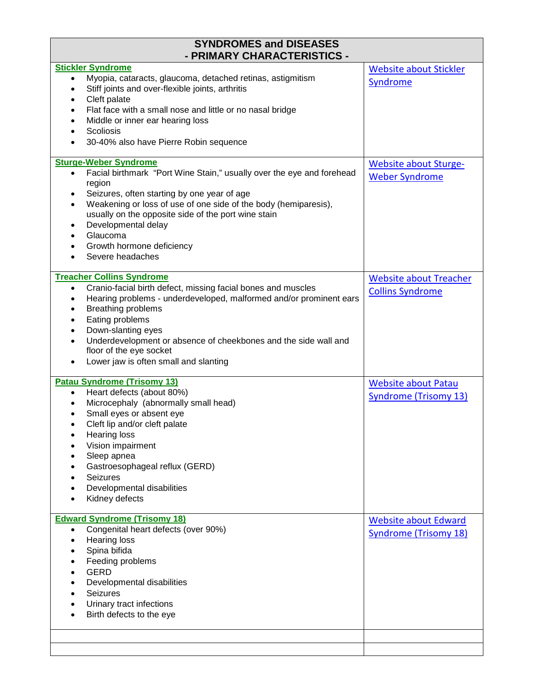| <b>SYNDROMES and DISEASES</b><br>- PRIMARY CHARACTERISTICS -                                                                                                                                                                                                                                                                                                                                                                                               |                                                             |
|------------------------------------------------------------------------------------------------------------------------------------------------------------------------------------------------------------------------------------------------------------------------------------------------------------------------------------------------------------------------------------------------------------------------------------------------------------|-------------------------------------------------------------|
| <b>Stickler Syndrome</b><br>Myopia, cataracts, glaucoma, detached retinas, astigmitism<br>$\bullet$<br>Stiff joints and over-flexible joints, arthritis<br>$\bullet$<br>Cleft palate<br>$\bullet$<br>Flat face with a small nose and little or no nasal bridge<br>$\bullet$<br>Middle or inner ear hearing loss<br>$\bullet$<br>Scoliosis<br>$\bullet$<br>30-40% also have Pierre Robin sequence                                                           | <b>Website about Stickler</b><br>Syndrome                   |
| <b>Sturge-Weber Syndrome</b><br>Facial birthmark "Port Wine Stain," usually over the eye and forehead<br>$\bullet$<br>region<br>Seizures, often starting by one year of age<br>$\bullet$<br>Weakening or loss of use of one side of the body (hemiparesis),<br>$\bullet$<br>usually on the opposite side of the port wine stain<br>Developmental delay<br>$\bullet$<br>Glaucoma<br>$\bullet$<br>Growth hormone deficiency<br>$\bullet$<br>Severe headaches | <b>Website about Sturge-</b><br><b>Weber Syndrome</b>       |
| <b>Treacher Collins Syndrome</b><br>Cranio-facial birth defect, missing facial bones and muscles<br>$\bullet$<br>Hearing problems - underdeveloped, malformed and/or prominent ears<br>$\bullet$<br>Breathing problems<br>$\bullet$<br>Eating problems<br>٠<br>Down-slanting eyes<br>$\bullet$<br>Underdevelopment or absence of cheekbones and the side wall and<br>$\bullet$<br>floor of the eye socket<br>Lower jaw is often small and slanting         | <b>Website about Treacher</b><br><b>Collins Syndrome</b>    |
| <b>Patau Syndrome (Trisomy 13)</b><br>Heart defects (about 80%)<br>$\bullet$<br>Microcephaly (abnormally small head)<br>$\bullet$<br>Small eyes or absent eye<br>Cleft lip and/or cleft palate<br><b>Hearing loss</b><br>Vision impairment<br>Sleep apnea<br>Gastroesophageal reflux (GERD)<br><b>Seizures</b><br>Developmental disabilities<br>Kidney defects                                                                                             | <b>Website about Patau</b><br><b>Syndrome (Trisomy 13)</b>  |
| <b>Edward Syndrome (Trisomy 18)</b><br>Congenital heart defects (over 90%)<br>$\bullet$<br><b>Hearing loss</b><br>$\bullet$<br>Spina bifida<br>$\bullet$<br>Feeding problems<br>$\bullet$<br><b>GERD</b><br>Developmental disabilities<br><b>Seizures</b><br>Urinary tract infections<br>Birth defects to the eye                                                                                                                                          | <b>Website about Edward</b><br><b>Syndrome (Trisomy 18)</b> |
|                                                                                                                                                                                                                                                                                                                                                                                                                                                            |                                                             |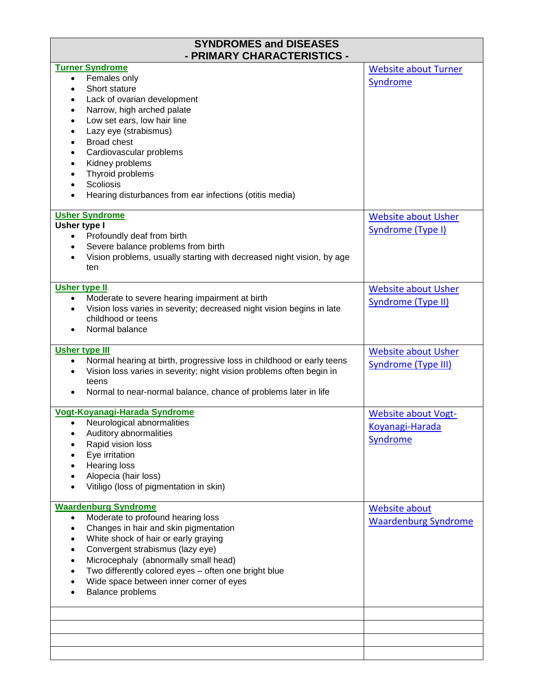| <b>SYNDROMES and DISEASES</b><br>- PRIMARY CHARACTERISTICS -                                                                                                                                                                                                                                                                                                                                                                                                                        |                                                                  |
|-------------------------------------------------------------------------------------------------------------------------------------------------------------------------------------------------------------------------------------------------------------------------------------------------------------------------------------------------------------------------------------------------------------------------------------------------------------------------------------|------------------------------------------------------------------|
| <b>Turner Syndrome</b><br>Females only<br>$\bullet$<br>Short stature<br>$\bullet$<br>Lack of ovarian development<br>٠<br>Narrow, high arched palate<br>$\bullet$<br>Low set ears, low hair line<br>$\bullet$<br>Lazy eye (strabismus)<br>$\bullet$<br><b>Broad chest</b><br>$\bullet$<br>Cardiovascular problems<br>$\bullet$<br>Kidney problems<br>$\bullet$<br>Thyroid problems<br>$\bullet$<br>Scoliosis<br>$\bullet$<br>Hearing disturbances from ear infections (otitis media) | <b>Website about Turner</b><br>Syndrome                          |
| <b>Usher Syndrome</b><br>Usher type I<br>Profoundly deaf from birth<br>$\bullet$<br>Severe balance problems from birth<br>$\bullet$<br>Vision problems, usually starting with decreased night vision, by age<br>$\bullet$<br>ten                                                                                                                                                                                                                                                    | <b>Website about Usher</b><br>Syndrome (Type I)                  |
| <b>Usher type II</b><br>Moderate to severe hearing impairment at birth<br>$\bullet$<br>Vision loss varies in severity; decreased night vision begins in late<br>$\bullet$<br>childhood or teens<br>Normal balance                                                                                                                                                                                                                                                                   | <b>Website about Usher</b><br><b>Syndrome (Type II)</b>          |
| <b>Usher type III</b><br>Normal hearing at birth, progressive loss in childhood or early teens<br>$\bullet$<br>Vision loss varies in severity; night vision problems often begin in<br>٠<br>teens<br>Normal to near-normal balance, chance of problems later in life<br>٠                                                                                                                                                                                                           | <b>Website about Usher</b><br><b>Syndrome (Type III)</b>         |
| Vogt-Koyanagi-Harada Syndrome<br>Neurological abnormalities<br>$\bullet$<br>Auditory abnormalities<br>Rapid vision loss<br>Eye irritation<br><b>Hearing loss</b><br>Alopecia (hair loss)<br>Vitiligo (loss of pigmentation in skin)                                                                                                                                                                                                                                                 | <b>Website about Vogt-</b><br>Koyanagi-Harada<br><b>Syndrome</b> |
| <b>Waardenburg Syndrome</b><br>Moderate to profound hearing loss<br>$\bullet$<br>Changes in hair and skin pigmentation<br>٠<br>White shock of hair or early graying<br>$\bullet$<br>Convergent strabismus (lazy eye)<br>$\bullet$<br>Microcephaly (abnormally small head)<br>$\bullet$<br>Two differently colored eyes - often one bright blue<br>$\bullet$<br>Wide space between inner corner of eyes<br>Balance problems                                                          | <b>Website about</b><br><b>Waardenburg Syndrome</b>              |